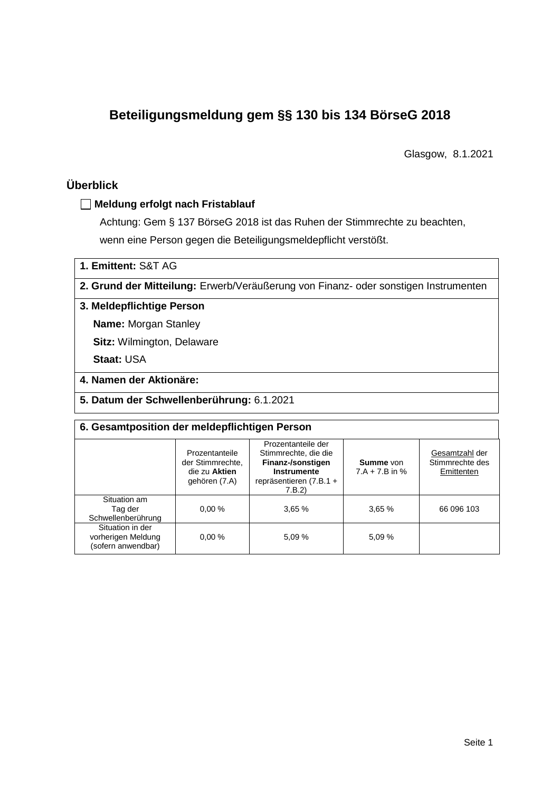# **Beteiligungsmeldung gem §§ 130 bis 134 BörseG 2018**

Glasgow, 8.1.2021

# **Überblick**

## **Meldung erfolgt nach Fristablauf**

Achtung: Gem § 137 BörseG 2018 ist das Ruhen der Stimmrechte zu beachten, wenn eine Person gegen die Beteiligungsmeldepflicht verstößt.

**1. Emittent:** S&T AG

**2. Grund der Mitteilung:** Erwerb/Veräußerung von Finanz- oder sonstigen Instrumenten

## **3. Meldepflichtige Person**

**Name:** Morgan Stanley

**Sitz:** Wilmington, Delaware

**Staat:** USA

# **4. Namen der Aktionäre:**

**5. Datum der Schwellenberührung:** 6.1.2021

| 6. Gesamtposition der meldepflichtigen Person                |                                                                      |                                                                                                                           |                               |                                                 |  |  |  |
|--------------------------------------------------------------|----------------------------------------------------------------------|---------------------------------------------------------------------------------------------------------------------------|-------------------------------|-------------------------------------------------|--|--|--|
|                                                              | Prozentanteile<br>der Stimmrechte.<br>die zu Aktien<br>gehören (7.A) | Prozentanteile der<br>Stimmrechte, die die<br>Finanz-/sonstigen<br><b>Instrumente</b><br>repräsentieren (7.B.1 +<br>7.B.2 | Summe von<br>$7.A + 7.B$ in % | Gesamtzahl der<br>Stimmrechte des<br>Emittenten |  |  |  |
| Situation am<br>Tag der<br>Schwellenberührung                | 0.00%                                                                | 3,65%                                                                                                                     | 3,65%                         | 66 096 103                                      |  |  |  |
| Situation in der<br>vorherigen Meldung<br>(sofern anwendbar) | 0.00%                                                                | 5.09 %                                                                                                                    | 5.09 %                        |                                                 |  |  |  |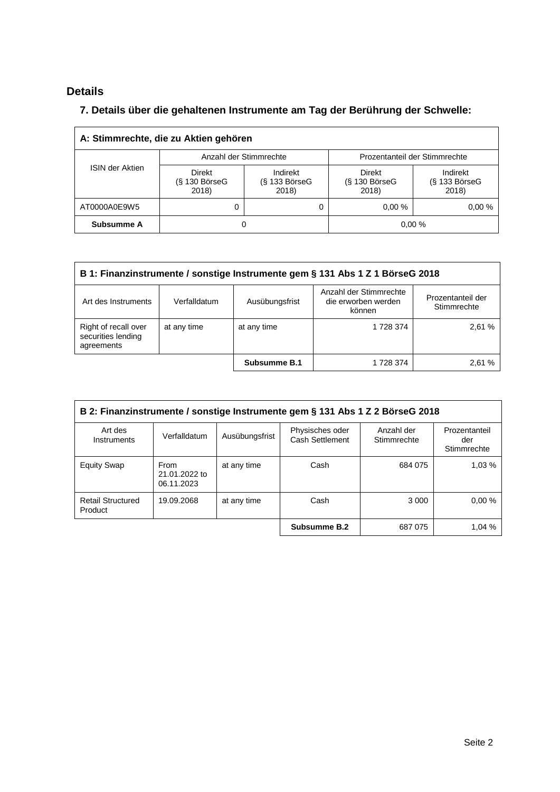# **Details**

 $\overline{\Gamma}$ 

# **7. Details über die gehaltenen Instrumente am Tag der Berührung der Schwelle:**

| A: Stimmrechte, die zu Aktien gehören |                                           |                                      |                                       |                                      |  |  |  |  |
|---------------------------------------|-------------------------------------------|--------------------------------------|---------------------------------------|--------------------------------------|--|--|--|--|
| <b>ISIN der Aktien</b>                | Anzahl der Stimmrechte                    |                                      | Prozentanteil der Stimmrechte         |                                      |  |  |  |  |
|                                       | <b>Direkt</b><br>$(S$ 130 BörseG<br>2018) | Indirekt<br>$(S$ 133 BörseG<br>2018) | Direkt<br>$(S$ 130 Börse $G$<br>2018) | Indirekt<br>$(S$ 133 BörseG<br>2018) |  |  |  |  |
| AT0000A0E9W5                          | 0                                         |                                      | 0.00%                                 | 0.00%                                |  |  |  |  |
| Subsumme A                            | O                                         |                                      |                                       | 0,00%                                |  |  |  |  |

| B 1: Finanzinstrumente / sonstige Instrumente gem § 131 Abs 1 Z 1 BörseG 2018                                 |              |                |                                                         |                                  |  |  |  |
|---------------------------------------------------------------------------------------------------------------|--------------|----------------|---------------------------------------------------------|----------------------------------|--|--|--|
| Art des Instruments                                                                                           | Verfalldatum | Ausübungsfrist | Anzahl der Stimmrechte<br>die erworben werden<br>können | Prozentanteil der<br>Stimmrechte |  |  |  |
| Right of recall over<br>2,61 %<br>at any time<br>1 728 374<br>at any time<br>securities lending<br>agreements |              |                |                                                         |                                  |  |  |  |
|                                                                                                               |              | Subsumme B.1   | 1 728 374                                               | 2.61 %                           |  |  |  |

| B 2: Finanzinstrumente / sonstige Instrumente gem § 131 Abs 1 Z 2 BörseG 2018 |                                     |                |                                    |                           |                                     |  |
|-------------------------------------------------------------------------------|-------------------------------------|----------------|------------------------------------|---------------------------|-------------------------------------|--|
| Art des<br>Instruments                                                        | Verfalldatum                        | Ausübungsfrist | Physisches oder<br>Cash Settlement | Anzahl der<br>Stimmrechte | Prozentanteil<br>der<br>Stimmrechte |  |
| <b>Equity Swap</b>                                                            | From<br>21.01.2022 to<br>06.11.2023 | at any time    | Cash                               | 684 075                   | 1.03%                               |  |
| <b>Retail Structured</b><br>Product                                           | 19.09.2068                          | at any time    | Cash                               | 3 0 0 0                   | 0.00%                               |  |
|                                                                               |                                     |                | Subsumme B.2                       | 687 075                   | 1.04 %                              |  |

 $\overline{\phantom{0}}$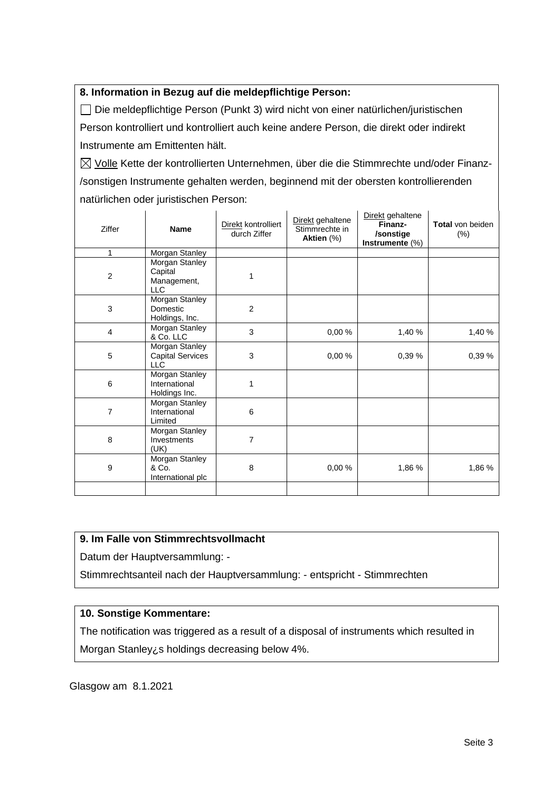## **8. Information in Bezug auf die meldepflichtige Person:**

Die meldepflichtige Person (Punkt 3) wird nicht von einer natürlichen/juristischen Person kontrolliert und kontrolliert auch keine andere Person, die direkt oder indirekt Instrumente am Emittenten hält.

 $\boxtimes$  Volle Kette der kontrollierten Unternehmen, über die die Stimmrechte und/oder Finanz-/sonstigen Instrumente gehalten werden, beginnend mit der obersten kontrollierenden natürlichen oder juristischen Person:

| Ziffer         | <b>Name</b>                                             | Direkt kontrolliert<br>durch Ziffer | Direkt gehaltene<br>Stimmrechte in<br>Aktien (%) | Direkt gehaltene<br>Finanz-<br>/sonstige<br>Instrumente (%) | Total von beiden<br>$(\%)$ |
|----------------|---------------------------------------------------------|-------------------------------------|--------------------------------------------------|-------------------------------------------------------------|----------------------------|
| 1              | Morgan Stanley                                          |                                     |                                                  |                                                             |                            |
| $\overline{c}$ | Morgan Stanley<br>Capital<br>Management,<br>LLC         | 1                                   |                                                  |                                                             |                            |
| 3              | Morgan Stanley<br>Domestic<br>Holdings, Inc.            | $\overline{2}$                      |                                                  |                                                             |                            |
| 4              | Morgan Stanley<br>& Co. LLC                             | 3                                   | 0,00%                                            | 1,40 %                                                      | 1,40 %                     |
| 5              | Morgan Stanley<br><b>Capital Services</b><br><b>LLC</b> | 3                                   | 0,00%                                            | 0,39 %                                                      | 0,39%                      |
| 6              | Morgan Stanley<br>International<br>Holdings Inc.        | 1                                   |                                                  |                                                             |                            |
| 7              | Morgan Stanley<br>International<br>Limited              | 6                                   |                                                  |                                                             |                            |
| 8              | Morgan Stanley<br>Investments<br>(UK)                   | 7                                   |                                                  |                                                             |                            |
| 9              | Morgan Stanley<br>& Co.<br>International plc            | 8                                   | 0,00%                                            | 1,86 %                                                      | 1,86 %                     |
|                |                                                         |                                     |                                                  |                                                             |                            |

### **9. Im Falle von Stimmrechtsvollmacht**

Datum der Hauptversammlung: -

Stimmrechtsanteil nach der Hauptversammlung: - entspricht - Stimmrechten

### **10. Sonstige Kommentare:**

The notification was triggered as a result of a disposal of instruments which resulted in Morgan Stanley¿s holdings decreasing below 4%.

Glasgow am 8.1.2021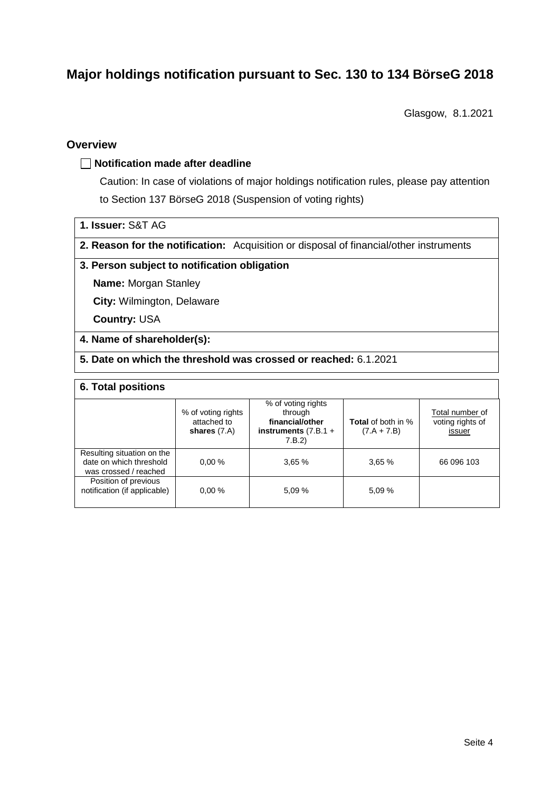# **Major holdings notification pursuant to Sec. 130 to 134 BörseG 2018**

Glasgow, 8.1.2021

## **Overview**

### **Notification made after deadline**

Caution: In case of violations of major holdings notification rules, please pay attention to Section 137 BörseG 2018 (Suspension of voting rights)

- **1. Issuer:** S&T AG
- **2. Reason for the notification:** Acquisition or disposal of financial/other instruments

#### **3. Person subject to notification obligation**

**Name:** Morgan Stanley

**City:** Wilmington, Delaware

**Country:** USA

### **4. Name of shareholder(s):**

**5. Date on which the threshold was crossed or reached:** 6.1.2021

#### **6. Total positions**

|                                                                                | % of voting rights<br>attached to<br>shares $(7.A)$ | % of voting rights<br>through<br>financial/other<br>instruments $(7.B.1 +$<br>7.B.2) | <b>Total</b> of both in %<br>$(7.A + 7.B)$ | Total number of<br>voting rights of<br>issuer |
|--------------------------------------------------------------------------------|-----------------------------------------------------|--------------------------------------------------------------------------------------|--------------------------------------------|-----------------------------------------------|
| Resulting situation on the<br>date on which threshold<br>was crossed / reached | 0.00%                                               | 3.65%                                                                                | 3,65%                                      | 66 096 103                                    |
| Position of previous<br>notification (if applicable)                           | 0.00%                                               | 5.09%                                                                                | 5,09 %                                     |                                               |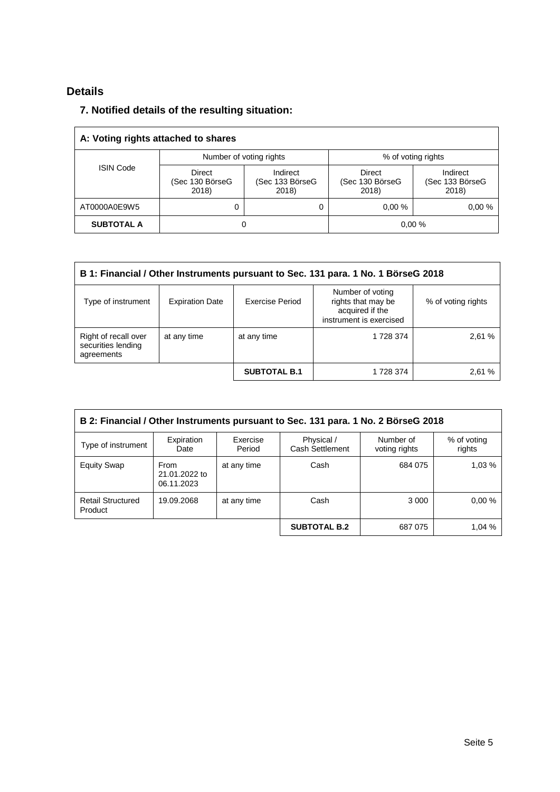# **Details**

# **7. Notified details of the resulting situation:**

| A: Voting rights attached to shares |                                           |                                      |                                    |                                      |  |  |
|-------------------------------------|-------------------------------------------|--------------------------------------|------------------------------------|--------------------------------------|--|--|
|                                     | Number of voting rights                   |                                      | % of voting rights                 |                                      |  |  |
| <b>ISIN Code</b>                    | <b>Direct</b><br>(Sec 130 BörseG<br>2018) | Indirect<br>(Sec 133 BörseG<br>2018) | Direct<br>(Sec 130 BörseG<br>2018) | Indirect<br>(Sec 133 BörseG<br>2018) |  |  |
| AT0000A0E9W5                        | 0                                         | 0                                    | 0.00%                              | 0.00%                                |  |  |
| <b>SUBTOTAL A</b>                   | 0,00%<br>0                                |                                      |                                    |                                      |  |  |

| B 1: Financial / Other Instruments pursuant to Sec. 131 para. 1 No. 1 BörseG 2018 |                        |                        |                                                                                      |                    |  |  |  |
|-----------------------------------------------------------------------------------|------------------------|------------------------|--------------------------------------------------------------------------------------|--------------------|--|--|--|
| Type of instrument                                                                | <b>Expiration Date</b> | <b>Exercise Period</b> | Number of voting<br>rights that may be<br>acquired if the<br>instrument is exercised | % of voting rights |  |  |  |
| Right of recall over<br>securities lending<br>agreements                          | at any time            | at any time            | 1 728 374                                                                            | 2,61 %             |  |  |  |
|                                                                                   |                        | <b>SUBTOTAL B.1</b>    | 1 728 374                                                                            | 2,61 %             |  |  |  |

| B 2: Financial / Other Instruments pursuant to Sec. 131 para. 1 No. 2 BörseG 2018 |                                            |                    |                                      |                            |                       |  |
|-----------------------------------------------------------------------------------|--------------------------------------------|--------------------|--------------------------------------|----------------------------|-----------------------|--|
| Type of instrument                                                                | Expiration<br>Date                         | Exercise<br>Period | Physical /<br><b>Cash Settlement</b> | Number of<br>voting rights | % of voting<br>rights |  |
| <b>Equity Swap</b>                                                                | <b>From</b><br>21.01.2022 to<br>06.11.2023 | at any time        | Cash                                 | 684 075                    | 1,03 %                |  |
| <b>Retail Structured</b><br>Product                                               | 19.09.2068                                 | at any time        | Cash                                 | 3 0 0 0                    | 0.00%                 |  |
|                                                                                   |                                            |                    | <b>SUBTOTAL B.2</b>                  | 687 075                    | 1.04%                 |  |